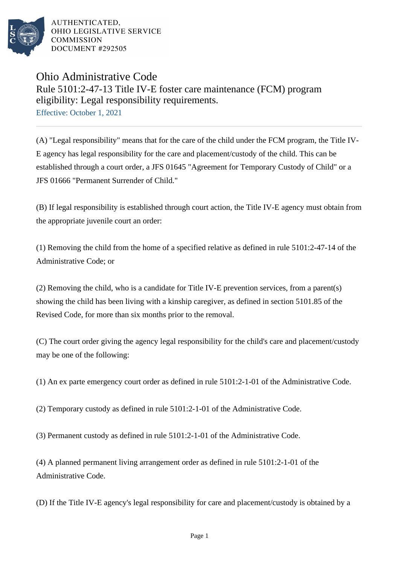

AUTHENTICATED. OHIO LEGISLATIVE SERVICE **COMMISSION** DOCUMENT #292505

## Ohio Administrative Code Rule 5101:2-47-13 Title IV-E foster care maintenance (FCM) program eligibility: Legal responsibility requirements. Effective: October 1, 2021

(A) "Legal responsibility" means that for the care of the child under the FCM program, the Title IV-E agency has legal responsibility for the care and placement/custody of the child. This can be established through a court order, a JFS 01645 "Agreement for Temporary Custody of Child" or a JFS 01666 "Permanent Surrender of Child."

(B) If legal responsibility is established through court action, the Title IV-E agency must obtain from the appropriate juvenile court an order:

(1) Removing the child from the home of a specified relative as defined in rule 5101:2-47-14 of the Administrative Code; or

(2) Removing the child, who is a candidate for Title IV-E prevention services, from a parent(s) showing the child has been living with a kinship caregiver, as defined in section 5101.85 of the Revised Code, for more than six months prior to the removal.

(C) The court order giving the agency legal responsibility for the child's care and placement/custody may be one of the following:

(1) An ex parte emergency court order as defined in rule 5101:2-1-01 of the Administrative Code.

(2) Temporary custody as defined in rule 5101:2-1-01 of the Administrative Code.

(3) Permanent custody as defined in rule 5101:2-1-01 of the Administrative Code.

(4) A planned permanent living arrangement order as defined in rule 5101:2-1-01 of the Administrative Code.

(D) If the Title IV-E agency's legal responsibility for care and placement/custody is obtained by a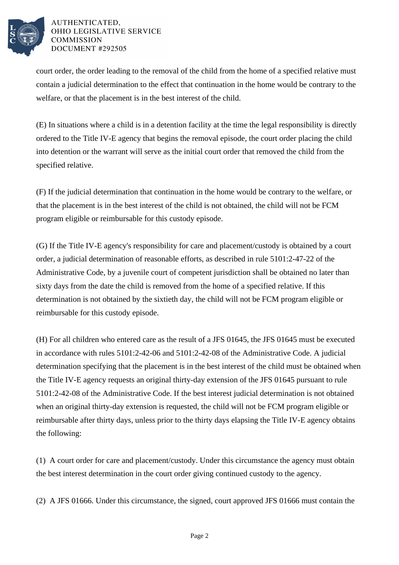

## AUTHENTICATED. OHIO LEGISLATIVE SERVICE **COMMISSION** DOCUMENT #292505

court order, the order leading to the removal of the child from the home of a specified relative must contain a judicial determination to the effect that continuation in the home would be contrary to the welfare, or that the placement is in the best interest of the child.

(E) In situations where a child is in a detention facility at the time the legal responsibility is directly ordered to the Title IV-E agency that begins the removal episode, the court order placing the child into detention or the warrant will serve as the initial court order that removed the child from the specified relative.

(F) If the judicial determination that continuation in the home would be contrary to the welfare, or that the placement is in the best interest of the child is not obtained, the child will not be FCM program eligible or reimbursable for this custody episode.

(G) If the Title IV-E agency's responsibility for care and placement/custody is obtained by a court order, a judicial determination of reasonable efforts, as described in rule 5101:2-47-22 of the Administrative Code, by a juvenile court of competent jurisdiction shall be obtained no later than sixty days from the date the child is removed from the home of a specified relative. If this determination is not obtained by the sixtieth day, the child will not be FCM program eligible or reimbursable for this custody episode.

(H) For all children who entered care as the result of a JFS 01645, the JFS 01645 must be executed in accordance with rules 5101:2-42-06 and 5101:2-42-08 of the Administrative Code. A judicial determination specifying that the placement is in the best interest of the child must be obtained when the Title IV-E agency requests an original thirty-day extension of the JFS 01645 pursuant to rule 5101:2-42-08 of the Administrative Code. If the best interest judicial determination is not obtained when an original thirty-day extension is requested, the child will not be FCM program eligible or reimbursable after thirty days, unless prior to the thirty days elapsing the Title IV-E agency obtains the following:

(1) A court order for care and placement/custody. Under this circumstance the agency must obtain the best interest determination in the court order giving continued custody to the agency.

(2) A JFS 01666. Under this circumstance, the signed, court approved JFS 01666 must contain the